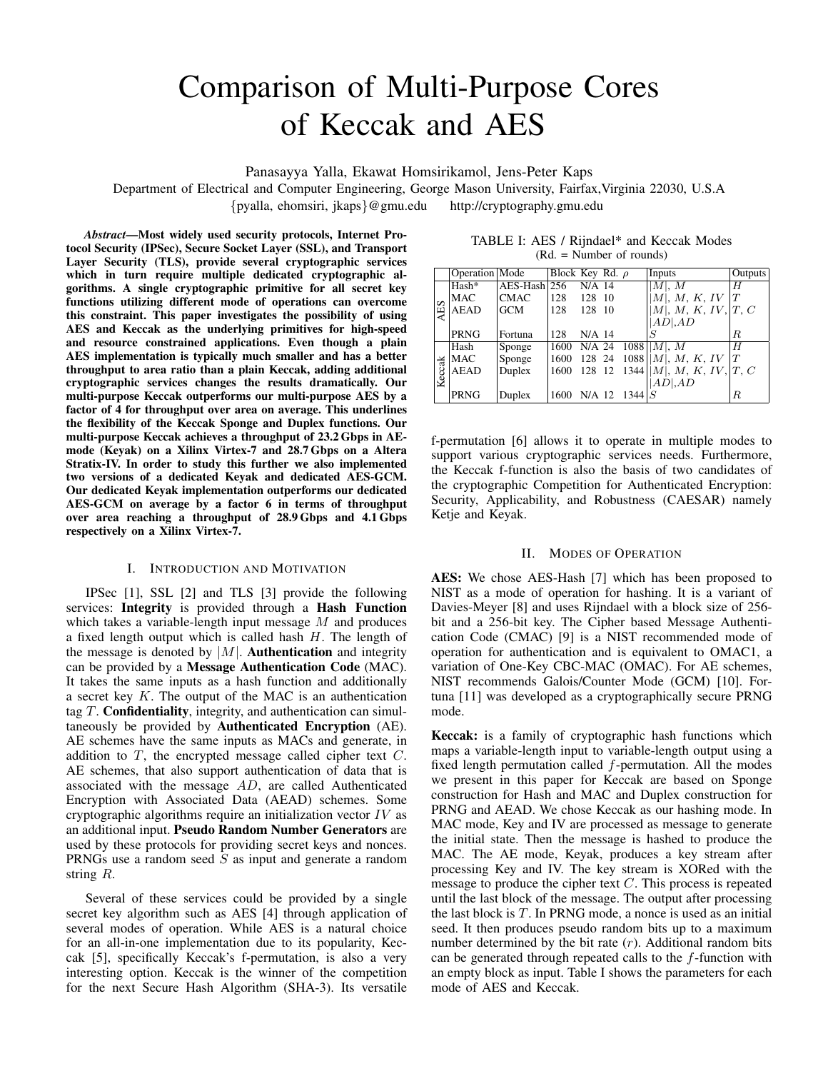# Comparison of Multi-Purpose Cores of Keccak and AES

Panasayya Yalla, Ekawat Homsirikamol, Jens-Peter Kaps

Department of Electrical and Computer Engineering, George Mason University, Fairfax,Virginia 22030, U.S.A {pyalla, ehomsiri, jkaps}@gmu.edu http://cryptography.gmu.edu

*Abstract*—Most widely used security protocols, Internet Protocol Security (IPSec), Secure Socket Layer (SSL), and Transport Layer Security (TLS), provide several cryptographic services which in turn require multiple dedicated cryptographic algorithms. A single cryptographic primitive for all secret key functions utilizing different mode of operations can overcome this constraint. This paper investigates the possibility of using AES and Keccak as the underlying primitives for high-speed and resource constrained applications. Even though a plain AES implementation is typically much smaller and has a better throughput to area ratio than a plain Keccak, adding additional cryptographic services changes the results dramatically. Our multi-purpose Keccak outperforms our multi-purpose AES by a factor of 4 for throughput over area on average. This underlines the flexibility of the Keccak Sponge and Duplex functions. Our multi-purpose Keccak achieves a throughput of 23.2 Gbps in AEmode (Keyak) on a Xilinx Virtex-7 and 28.7 Gbps on a Altera Stratix-IV. In order to study this further we also implemented two versions of a dedicated Keyak and dedicated AES-GCM. Our dedicated Keyak implementation outperforms our dedicated AES-GCM on average by a factor 6 in terms of throughput over area reaching a throughput of 28.9 Gbps and 4.1 Gbps respectively on a Xilinx Virtex-7.

# I. INTRODUCTION AND MOTIVATION

IPSec [1], SSL [2] and TLS [3] provide the following services: Integrity is provided through a Hash Function which takes a variable-length input message  $M$  and produces a fixed length output which is called hash  $H$ . The length of the message is denoted by  $|M|$ . Authentication and integrity can be provided by a Message Authentication Code (MAC). It takes the same inputs as a hash function and additionally a secret key K. The output of the MAC is an authentication tag  $T$ . Confidentiality, integrity, and authentication can simultaneously be provided by Authenticated Encryption (AE). AE schemes have the same inputs as MACs and generate, in addition to  $T$ , the encrypted message called cipher text  $C$ . AE schemes, that also support authentication of data that is associated with the message AD, are called Authenticated Encryption with Associated Data (AEAD) schemes. Some cryptographic algorithms require an initialization vector  $IV$  as an additional input. Pseudo Random Number Generators are used by these protocols for providing secret keys and nonces. PRNGs use a random seed  $S$  as input and generate a random string R.

Several of these services could be provided by a single secret key algorithm such as AES [4] through application of several modes of operation. While AES is a natural choice for an all-in-one implementation due to its popularity, Keccak [5], specifically Keccak's f-permutation, is also a very interesting option. Keccak is the winner of the competition for the next Secure Hash Algorithm (SHA-3). Its versatile

TABLE I: AES / Rijndael\* and Keccak Modes (Rd. = Number of rounds)

|        | Operation Mode |                | Block Key Rd. $\rho$ |          |                | Inputs                               | Outputs |
|--------|----------------|----------------|----------------------|----------|----------------|--------------------------------------|---------|
|        | Hash*          | $AES-Hash$ 256 |                      | N/A 14   |                | M , M                                | H       |
|        | MAC            | <b>CMAC</b>    | 128                  | 128 10   |                | M , M, K, IV                         |         |
| AES    | AEAD           | <b>GCM</b>     | 128                  | 128 10   |                | M , M, K, IV,  T, C                  |         |
|        |                |                |                      |          |                | $AD$ , $AD$                          |         |
|        | <b>PRNG</b>    | Fortuna        | 128                  | $N/A$ 14 |                | S                                    | R.      |
|        | Hash           | Sponge         | 1600                 |          |                | N/A 24 $1088$   M , M                | H       |
|        | MAC            | Sponge         | 1600                 |          |                | 128 24 1088     M  , M, K, IV        | T       |
|        | AEAD           | Duplex         | 1600                 |          |                | 128 12 1344   $ M $ , M, K, IV, T, C |         |
| Keccak |                |                |                      |          |                | AD AD                                |         |
|        | <b>PRNG</b>    | Duplex         | 1600                 |          | N/A 12 $1344S$ |                                      | R       |

f-permutation [6] allows it to operate in multiple modes to support various cryptographic services needs. Furthermore, the Keccak f-function is also the basis of two candidates of the cryptographic Competition for Authenticated Encryption: Security, Applicability, and Robustness (CAESAR) namely Ketje and Keyak.

#### II. MODES OF OPERATION

AES: We chose AES-Hash [7] which has been proposed to NIST as a mode of operation for hashing. It is a variant of Davies-Meyer [8] and uses Rijndael with a block size of 256 bit and a 256-bit key. The Cipher based Message Authentication Code (CMAC) [9] is a NIST recommended mode of operation for authentication and is equivalent to OMAC1, a variation of One-Key CBC-MAC (OMAC). For AE schemes, NIST recommends Galois/Counter Mode (GCM) [10]. Fortuna [11] was developed as a cryptographically secure PRNG mode.

Keccak: is a family of cryptographic hash functions which maps a variable-length input to variable-length output using a fixed length permutation called  $f$ -permutation. All the modes we present in this paper for Keccak are based on Sponge construction for Hash and MAC and Duplex construction for PRNG and AEAD. We chose Keccak as our hashing mode. In MAC mode, Key and IV are processed as message to generate the initial state. Then the message is hashed to produce the MAC. The AE mode, Keyak, produces a key stream after processing Key and IV. The key stream is XORed with the message to produce the cipher text C. This process is repeated until the last block of the message. The output after processing the last block is  $T$ . In PRNG mode, a nonce is used as an initial seed. It then produces pseudo random bits up to a maximum number determined by the bit rate  $(r)$ . Additional random bits can be generated through repeated calls to the  $f$ -function with an empty block as input. Table I shows the parameters for each mode of AES and Keccak.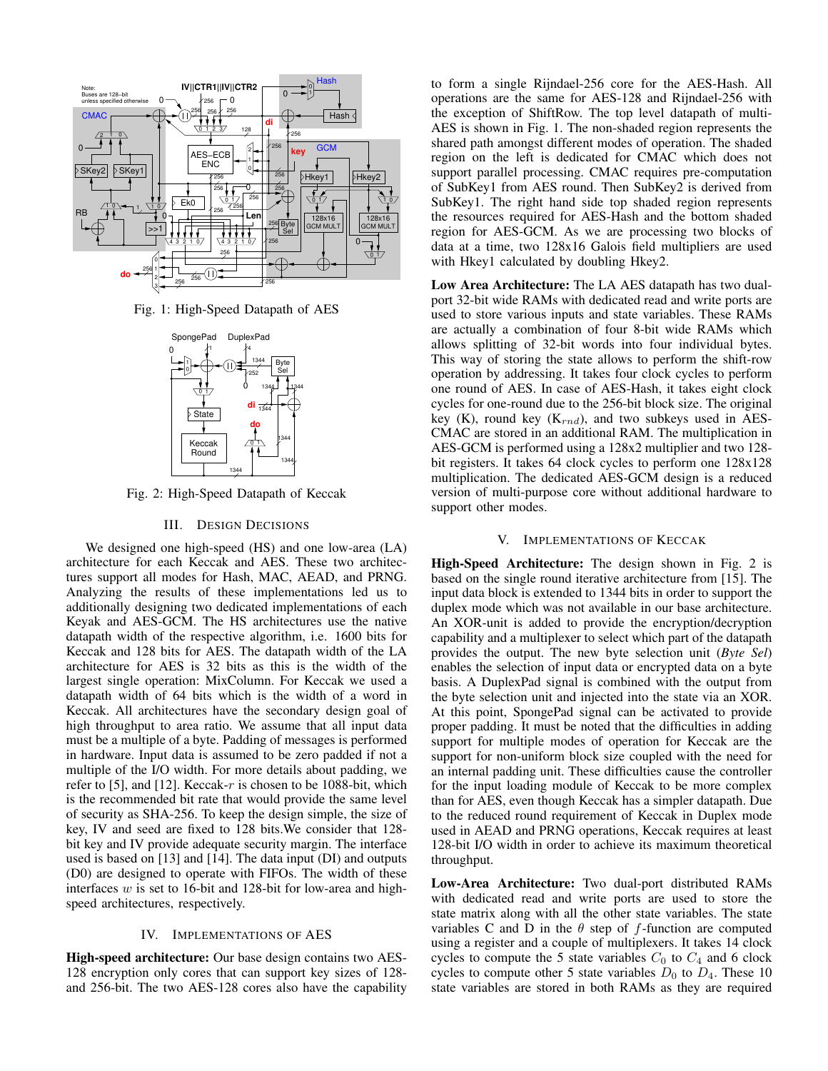

Fig. 1: High-Speed Datapath of AES



Fig. 2: High-Speed Datapath of Keccak

## III. DESIGN DECISIONS

We designed one high-speed (HS) and one low-area (LA) architecture for each Keccak and AES. These two architectures support all modes for Hash, MAC, AEAD, and PRNG. Analyzing the results of these implementations led us to additionally designing two dedicated implementations of each Keyak and AES-GCM. The HS architectures use the native datapath width of the respective algorithm, i.e. 1600 bits for Keccak and 128 bits for AES. The datapath width of the LA architecture for AES is 32 bits as this is the width of the largest single operation: MixColumn. For Keccak we used a datapath width of 64 bits which is the width of a word in Keccak. All architectures have the secondary design goal of high throughput to area ratio. We assume that all input data must be a multiple of a byte. Padding of messages is performed in hardware. Input data is assumed to be zero padded if not a multiple of the I/O width. For more details about padding, we refer to [5], and [12]. Keccak-r is chosen to be 1088-bit, which is the recommended bit rate that would provide the same level of security as SHA-256. To keep the design simple, the size of key, IV and seed are fixed to 128 bits.We consider that 128 bit key and IV provide adequate security margin. The interface used is based on [13] and [14]. The data input (DI) and outputs (D0) are designed to operate with FIFOs. The width of these interfaces  $w$  is set to 16-bit and 128-bit for low-area and highspeed architectures, respectively.

# IV. IMPLEMENTATIONS OF AES

High-speed architecture: Our base design contains two AES-128 encryption only cores that can support key sizes of 128 and 256-bit. The two AES-128 cores also have the capability to form a single Rijndael-256 core for the AES-Hash. All operations are the same for AES-128 and Rijndael-256 with the exception of ShiftRow. The top level datapath of multi-AES is shown in Fig. 1. The non-shaded region represents the shared path amongst different modes of operation. The shaded region on the left is dedicated for CMAC which does not support parallel processing. CMAC requires pre-computation of SubKey1 from AES round. Then SubKey2 is derived from SubKey1. The right hand side top shaded region represents the resources required for AES-Hash and the bottom shaded region for AES-GCM. As we are processing two blocks of data at a time, two 128x16 Galois field multipliers are used with Hkey1 calculated by doubling Hkey2.

Low Area Architecture: The LA AES datapath has two dualport 32-bit wide RAMs with dedicated read and write ports are used to store various inputs and state variables. These RAMs are actually a combination of four 8-bit wide RAMs which allows splitting of 32-bit words into four individual bytes. This way of storing the state allows to perform the shift-row operation by addressing. It takes four clock cycles to perform one round of AES. In case of AES-Hash, it takes eight clock cycles for one-round due to the 256-bit block size. The original key (K), round key ( $K_{rnd}$ ), and two subkeys used in AES-CMAC are stored in an additional RAM. The multiplication in AES-GCM is performed using a 128x2 multiplier and two 128 bit registers. It takes 64 clock cycles to perform one 128x128 multiplication. The dedicated AES-GCM design is a reduced version of multi-purpose core without additional hardware to support other modes.

## V. IMPLEMENTATIONS OF KECCAK

High-Speed Architecture: The design shown in Fig. 2 is based on the single round iterative architecture from [15]. The input data block is extended to 1344 bits in order to support the duplex mode which was not available in our base architecture. An XOR-unit is added to provide the encryption/decryption capability and a multiplexer to select which part of the datapath provides the output. The new byte selection unit (*Byte Sel*) enables the selection of input data or encrypted data on a byte basis. A DuplexPad signal is combined with the output from the byte selection unit and injected into the state via an XOR. At this point, SpongePad signal can be activated to provide proper padding. It must be noted that the difficulties in adding support for multiple modes of operation for Keccak are the support for non-uniform block size coupled with the need for an internal padding unit. These difficulties cause the controller for the input loading module of Keccak to be more complex than for AES, even though Keccak has a simpler datapath. Due to the reduced round requirement of Keccak in Duplex mode used in AEAD and PRNG operations, Keccak requires at least 128-bit I/O width in order to achieve its maximum theoretical throughput.

Low-Area Architecture: Two dual-port distributed RAMs with dedicated read and write ports are used to store the state matrix along with all the other state variables. The state variables C and D in the  $\theta$  step of f-function are computed using a register and a couple of multiplexers. It takes 14 clock cycles to compute the 5 state variables  $C_0$  to  $C_4$  and 6 clock cycles to compute other 5 state variables  $D_0$  to  $D_4$ . These 10 state variables are stored in both RAMs as they are required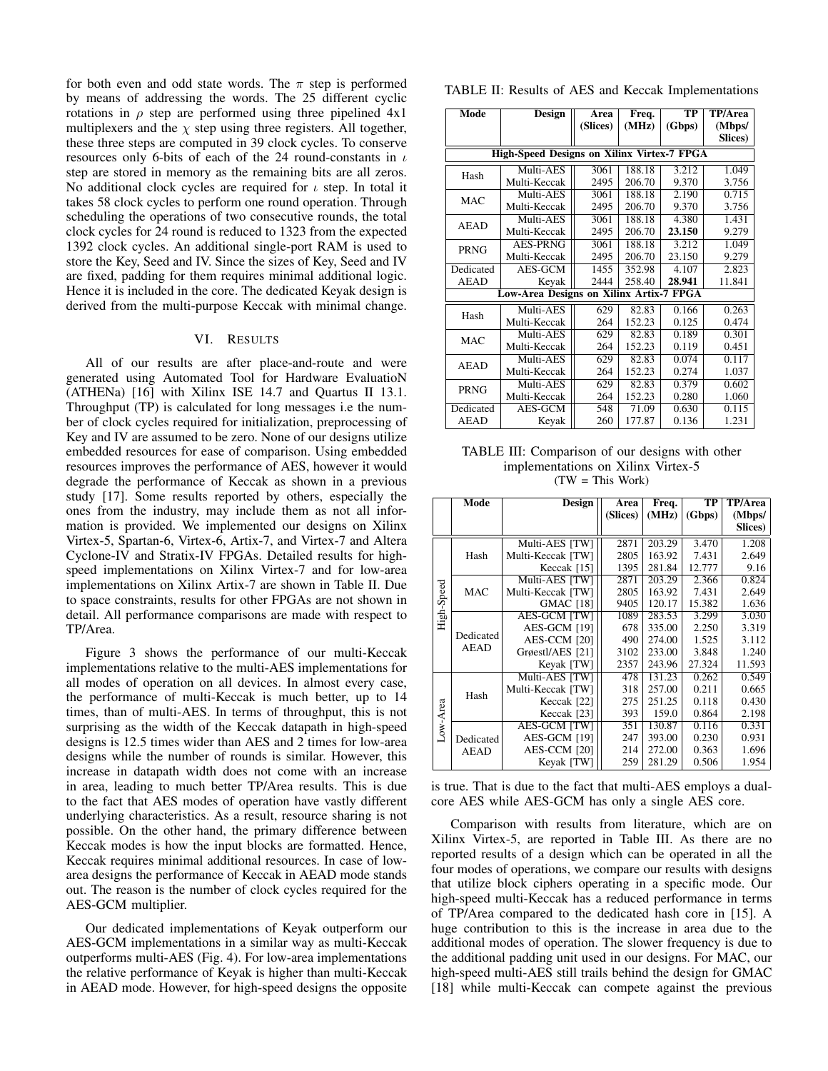for both even and odd state words. The  $\pi$  step is performed by means of addressing the words. The 25 different cyclic rotations in  $\rho$  step are performed using three pipelined  $4x1$ multiplexers and the  $\chi$  step using three registers. All together, these three steps are computed in 39 clock cycles. To conserve resources only 6-bits of each of the 24 round-constants in  $\iota$ step are stored in memory as the remaining bits are all zeros. No additional clock cycles are required for  $\iota$  step. In total it takes 58 clock cycles to perform one round operation. Through scheduling the operations of two consecutive rounds, the total clock cycles for 24 round is reduced to 1323 from the expected 1392 clock cycles. An additional single-port RAM is used to store the Key, Seed and IV. Since the sizes of Key, Seed and IV are fixed, padding for them requires minimal additional logic. Hence it is included in the core. The dedicated Keyak design is derived from the multi-purpose Keccak with minimal change.

# VI. RESULTS

All of our results are after place-and-route and were generated using Automated Tool for Hardware EvaluatioN (ATHENa) [16] with Xilinx ISE 14.7 and Quartus II 13.1. Throughput (TP) is calculated for long messages i.e the number of clock cycles required for initialization, preprocessing of Key and IV are assumed to be zero. None of our designs utilize embedded resources for ease of comparison. Using embedded resources improves the performance of AES, however it would degrade the performance of Keccak as shown in a previous study [17]. Some results reported by others, especially the ones from the industry, may include them as not all information is provided. We implemented our designs on Xilinx Virtex-5, Spartan-6, Virtex-6, Artix-7, and Virtex-7 and Altera Cyclone-IV and Stratix-IV FPGAs. Detailed results for highspeed implementations on Xilinx Virtex-7 and for low-area implementations on Xilinx Artix-7 are shown in Table II. Due to space constraints, results for other FPGAs are not shown in detail. All performance comparisons are made with respect to TP/Area.

Figure 3 shows the performance of our multi-Keccak implementations relative to the multi-AES implementations for all modes of operation on all devices. In almost every case, the performance of multi-Keccak is much better, up to 14 times, than of multi-AES. In terms of throughput, this is not surprising as the width of the Keccak datapath in high-speed designs is 12.5 times wider than AES and 2 times for low-area designs while the number of rounds is similar. However, this increase in datapath width does not come with an increase in area, leading to much better TP/Area results. This is due to the fact that AES modes of operation have vastly different underlying characteristics. As a result, resource sharing is not possible. On the other hand, the primary difference between Keccak modes is how the input blocks are formatted. Hence, Keccak requires minimal additional resources. In case of lowarea designs the performance of Keccak in AEAD mode stands out. The reason is the number of clock cycles required for the AES-GCM multiplier.

Our dedicated implementations of Keyak outperform our AES-GCM implementations in a similar way as multi-Keccak outperforms multi-AES (Fig. 4). For low-area implementations the relative performance of Keyak is higher than multi-Keccak in AEAD mode. However, for high-speed designs the opposite

| TABLE II: Results of AES and Keccak Implementations |  |  |
|-----------------------------------------------------|--|--|
|-----------------------------------------------------|--|--|

| Mode                                              | Design                                  | Area              | Freq.  | TP     | TP/Area         |  |  |  |
|---------------------------------------------------|-----------------------------------------|-------------------|--------|--------|-----------------|--|--|--|
|                                                   |                                         | (Slices)          | (MHz)  | (Gbps) | (Mbps/          |  |  |  |
|                                                   |                                         |                   |        |        | <b>Slices</b> ) |  |  |  |
| <b>High-Speed Designs on Xilinx Virtex-7 FPGA</b> |                                         |                   |        |        |                 |  |  |  |
| Hash                                              | Multi-AES                               | 3061              | 188.18 | 3.212  | 1.049           |  |  |  |
|                                                   | Multi-Keccak                            | 2495              | 206.70 | 9.370  | 3.756           |  |  |  |
| MAC                                               | Multi-AES                               | $30\overline{61}$ | 188.18 | 2.190  | 0.715           |  |  |  |
|                                                   | Multi-Keccak                            | 2495              | 206.70 | 9.370  | 3.756           |  |  |  |
| <b>AEAD</b>                                       | Multi-AES                               | 3061              | 188.18 | 4.380  | 1.431           |  |  |  |
|                                                   | Multi-Keccak                            | 2495              | 206.70 | 23.150 | 9.279           |  |  |  |
| PRNG                                              | <b>AES-PRNG</b>                         | 3061              | 188.18 | 3.212  | 1.049           |  |  |  |
|                                                   | Multi-Keccak                            | 2495              | 206.70 | 23.150 | 9.279           |  |  |  |
| Dedicated                                         | AES-GCM                                 | 1455              | 352.98 | 4.107  | 2.823           |  |  |  |
| <b>AEAD</b>                                       | Keyak                                   | 2444              | 258.40 | 28.941 | 11.841          |  |  |  |
|                                                   | Low-Area Designs on Xilinx Artix-7 FPGA |                   |        |        |                 |  |  |  |
| Hash                                              | Multi-AES                               | 629               | 82.83  | 0.166  | 0.263           |  |  |  |
|                                                   | Multi-Keccak                            | 264               | 152.23 | 0.125  | 0.474           |  |  |  |
| <b>MAC</b>                                        | Multi-AES                               | 629               | 82.83  | 0.189  | 0.301           |  |  |  |
|                                                   | Multi-Keccak                            | 264               | 152.23 | 0.119  | 0.451           |  |  |  |
| <b>AEAD</b>                                       | Multi-AES                               | 629               | 82.83  | 0.074  | 0.117           |  |  |  |
|                                                   | Multi-Keccak                            | 264               | 152.23 | 0.274  | 1.037           |  |  |  |
| PRNG                                              | Multi-AES                               | 629               | 82.83  | 0.379  | 0.602           |  |  |  |
|                                                   | Multi-Keccak                            | 264               | 152.23 | 0.280  | 1.060           |  |  |  |
| Dedicated                                         | AES-GCM                                 | 548               | 71.09  | 0.630  | 0.115           |  |  |  |
| <b>AEAD</b>                                       | Keyak                                   | 260               | 177.87 | 0.136  | 1.231           |  |  |  |

TABLE III: Comparison of our designs with other implementations on Xilinx Virtex-5 (TW = This Work)

|            | Mode                     | Design              | Area     | Freq.  | TP     | <b>TP/Area</b> |
|------------|--------------------------|---------------------|----------|--------|--------|----------------|
|            |                          |                     | (Slices) | (MHz)  | (Gbps) | (Mbps/         |
|            |                          |                     |          |        |        | Slices)        |
|            | Hash                     | Multi-AES [TW]      | 2871     | 203.29 | 3.470  | 1.208          |
|            |                          | Multi-Keccak [TW]   | 2805     | 163.92 | 7.431  | 2.649          |
|            |                          | Keccak [15]         | 1395     | 281.84 | 12.777 | 9.16           |
|            | <b>MAC</b>               | Multi-AES [TW]      | 2871     | 203.29 | 2.366  | 0.824          |
|            |                          | Multi-Keccak [TW]   | 2805     | 163.92 | 7.431  | 2.649          |
| High-Speed |                          | <b>GMAC</b> [18]    | 9405     | 120.17 | 15.382 | 1.636          |
|            | Dedicated<br><b>AEAD</b> | <b>AES-GCM [TW]</b> | 1089     | 283.53 | 3.299  | 3.030          |
|            |                          | AES-GCM [19]        | 678      | 335.00 | 2.250  | 3.319          |
|            |                          | AES-CCM [20]        | 490      | 274.00 | 1.525  | 3.112          |
|            |                          | Grøestl/AES [21]    | 3102     | 233.00 | 3.848  | 1.240          |
|            |                          | Keyak [TW]          | 2357     | 243.96 | 27.324 | 11.593         |
|            | Hash                     | Multi-AES [TW]      | 478      | 131.23 | 0.262  | 0.549          |
|            |                          | Multi-Keccak [TW]   | 318      | 257.00 | 0.211  | 0.665          |
| Low-Area   |                          | Keccak [22]         | 275      | 251.25 | 0.118  | 0.430          |
|            |                          | Keccak [23]         | 393      | 159.0  | 0.864  | 2.198          |
|            | Dedicated<br><b>AEAD</b> | <b>AES-GCM [TW]</b> | 351      | 130.87 | 0.116  | 0.331          |
|            |                          | AES-GCM [19]        | 247      | 393.00 | 0.230  | 0.931          |
|            |                          | AES-CCM [20]        | 214      | 272.00 | 0.363  | 1.696          |
|            |                          | Keyak [TW]          | 259      | 281.29 | 0.506  | 1.954          |

is true. That is due to the fact that multi-AES employs a dualcore AES while AES-GCM has only a single AES core.

Comparison with results from literature, which are on Xilinx Virtex-5, are reported in Table III. As there are no reported results of a design which can be operated in all the four modes of operations, we compare our results with designs that utilize block ciphers operating in a specific mode. Our high-speed multi-Keccak has a reduced performance in terms of TP/Area compared to the dedicated hash core in [15]. A huge contribution to this is the increase in area due to the additional modes of operation. The slower frequency is due to the additional padding unit used in our designs. For MAC, our high-speed multi-AES still trails behind the design for GMAC [18] while multi-Keccak can compete against the previous